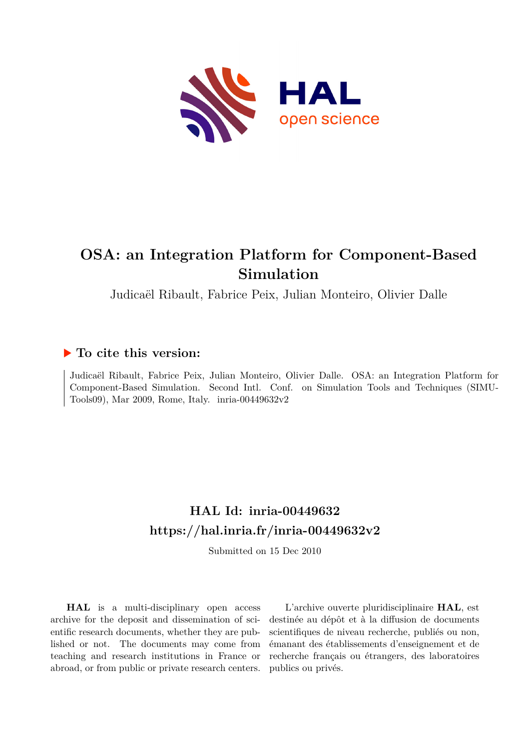

# **OSA: an Integration Platform for Component-Based Simulation**

Judicaël Ribault, Fabrice Peix, Julian Monteiro, Olivier Dalle

### **To cite this version:**

Judicaël Ribault, Fabrice Peix, Julian Monteiro, Olivier Dalle. OSA: an Integration Platform for Component-Based Simulation. Second Intl. Conf. on Simulation Tools and Techniques (SIMU-Tools09), Mar 2009, Rome, Italy. inria-00449632v2

## **HAL Id: inria-00449632 <https://hal.inria.fr/inria-00449632v2>**

Submitted on 15 Dec 2010

**HAL** is a multi-disciplinary open access archive for the deposit and dissemination of scientific research documents, whether they are published or not. The documents may come from teaching and research institutions in France or abroad, or from public or private research centers.

L'archive ouverte pluridisciplinaire **HAL**, est destinée au dépôt et à la diffusion de documents scientifiques de niveau recherche, publiés ou non, émanant des établissements d'enseignement et de recherche français ou étrangers, des laboratoires publics ou privés.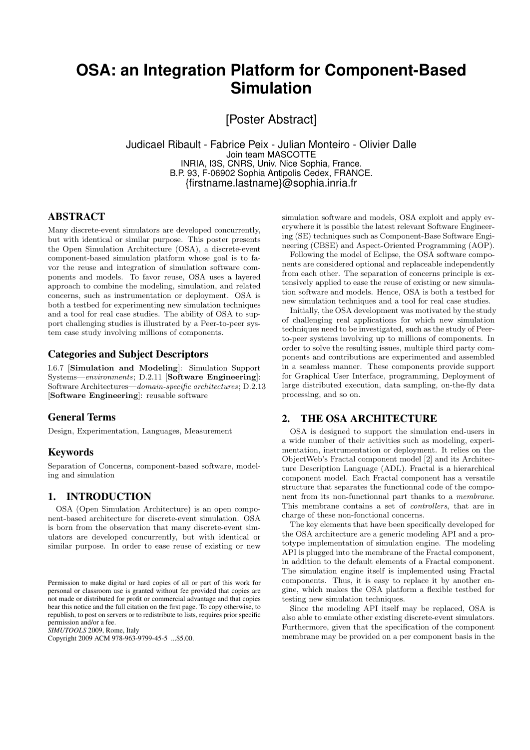### **OSA: an Integration Platform for Component-Based Simulation**

[Poster Abstract]

Judicael Ribault - Fabrice Peix - Julian Monteiro - Olivier Dalle Join team MASCOTTE INRIA, I3S, CNRS, Univ. Nice Sophia, France. B.P. 93, F-06902 Sophia Antipolis Cedex, FRANCE. {firstname.lastname}@sophia.inria.fr

#### ABSTRACT

Many discrete-event simulators are developed concurrently, but with identical or similar purpose. This poster presents the Open Simulation Architecture (OSA), a discrete-event component-based simulation platform whose goal is to favor the reuse and integration of simulation software components and models. To favor reuse, OSA uses a layered approach to combine the modeling, simulation, and related concerns, such as instrumentation or deployment. OSA is both a testbed for experimenting new simulation techniques and a tool for real case studies. The ability of OSA to support challenging studies is illustrated by a Peer-to-peer system case study involving millions of components.

#### Categories and Subject Descriptors

I.6.7 [Simulation and Modeling]: Simulation Support Systems—environments; D.2.11 [Software Engineering]: Software Architectures—domain-specific architectures; D.2.13 [Software Engineering]: reusable software

#### General Terms

Design, Experimentation, Languages, Measurement

#### Keywords

Separation of Concerns, component-based software, modeling and simulation

#### 1. INTRODUCTION

OSA (Open Simulation Architecture) is an open component-based architecture for discrete-event simulation. OSA is born from the observation that many discrete-event simulators are developed concurrently, but with identical or similar purpose. In order to ease reuse of existing or new

*SIMUTOOLS* 2009, Rome, Italy

Copyright 2009 ACM 978-963-9799-45-5 ...\$5.00.

simulation software and models, OSA exploit and apply everywhere it is possible the latest relevant Software Engineering (SE) techniques such as Component-Base Software Engineering (CBSE) and Aspect-Oriented Programming (AOP).

Following the model of Eclipse, the OSA software components are considered optional and replaceable independently from each other. The separation of concerns principle is extensively applied to ease the reuse of existing or new simulation software and models. Hence, OSA is both a testbed for new simulation techniques and a tool for real case studies.

Initially, the OSA development was motivated by the study of challenging real applications for which new simulation techniques need to be investigated, such as the study of Peerto-peer systems involving up to millions of components. In order to solve the resulting issues, multiple third party components and contributions are experimented and assembled in a seamless manner. These components provide support for Graphical User Interface, programming, Deployment of large distributed execution, data sampling, on-the-fly data processing, and so on.

#### 2. THE OSA ARCHITECTURE

OSA is designed to support the simulation end-users in a wide number of their activities such as modeling, experimentation, instrumentation or deployment. It relies on the ObjectWeb's Fractal component model [2] and its Architecture Description Language (ADL). Fractal is a hierarchical component model. Each Fractal component has a versatile structure that separates the functionnal code of the component from its non-functionnal part thanks to a membrane. This membrane contains a set of controllers, that are in charge of these non-fonctional concerns.

The key elements that have been specifically developed for the OSA architecture are a generic modeling API and a prototype implementation of simulation engine. The modeling API is plugged into the membrane of the Fractal component, in addition to the default elements of a Fractal component. The simulation engine itself is implemented using Fractal components. Thus, it is easy to replace it by another engine, which makes the OSA platform a flexible testbed for testing new simulation techniques.

Since the modeling API itself may be replaced, OSA is also able to emulate other existing discrete-event simulators. Furthermore, given that the specification of the component membrane may be provided on a per component basis in the

Permission to make digital or hard copies of all or part of this work for personal or classroom use is granted without fee provided that copies are not made or distributed for profit or commercial advantage and that copies bear this notice and the full citation on the first page. To copy otherwise, to republish, to post on servers or to redistribute to lists, requires prior specific permission and/or a fee.